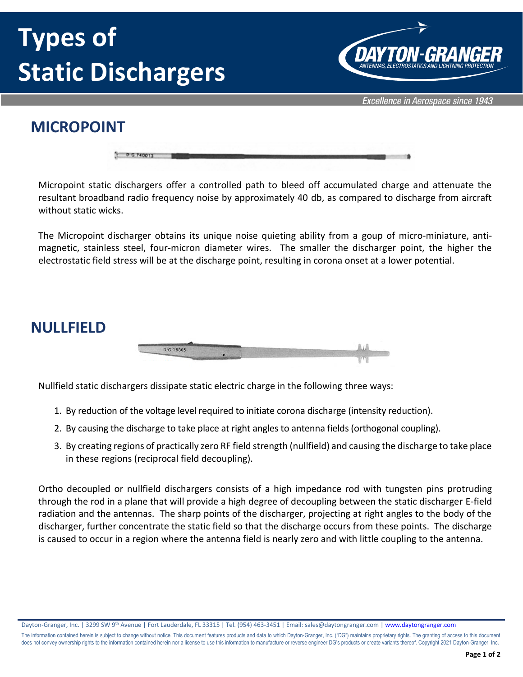# **Types of Static Dischargers**



Excellence in Aerospace since 1943

### **MICROPOINT**

| <b>D.G.</b> |  |  |
|-------------|--|--|

Micropoint static dischargers offer a controlled path to bleed off accumulated charge and attenuate the resultant broadband radio frequency noise by approximately 40 db, as compared to discharge from aircraft without static wicks.

The Micropoint discharger obtains its unique noise quieting ability from a goup of micro-miniature, antimagnetic, stainless steel, four-micron diameter wires. The smaller the discharger point, the higher the electrostatic field stress will be at the discharge point, resulting in corona onset at a lower potential.

#### **NULLFIELD**



Nullfield static dischargers dissipate static electric charge in the following three ways:

- 1. By reduction of the voltage level required to initiate corona discharge (intensity reduction).
- 2. By causing the discharge to take place at right angles to antenna fields (orthogonal coupling).
- 3. By creating regions of practically zero RF field strength (nullfield) and causing the discharge to take place in these regions (reciprocal field decoupling).

Ortho decoupled or nullfield dischargers consists of a high impedance rod with tungsten pins protruding through the rod in a plane that will provide a high degree of decoupling between the static discharger E-field radiation and the antennas. The sharp points of the discharger, projecting at right angles to the body of the discharger, further concentrate the static field so that the discharge occurs from these points. The discharge is caused to occur in a region where the antenna field is nearly zero and with little coupling to the antenna.

Dayton-Granger, Inc. | 3299 SW 9<sup>th</sup> Avenue | Fort Lauderdale, FL 33315 | Tel. (954) 463-3451 | Email: sales@daytongranger.com [| www.daytongranger.com](http://www.daytongranger.com/)

The information contained herein is subject to change without notice. This document features products and data to which Dayton-Granger, Inc. ("DG") maintains proprietary rights. The granting of access to this document does not convey ownership rights to the information contained herein nor a license to use this information to manufacture or reverse engineer DG's products or create variants thereof. Copyright 2021 Dayton-Granger, Inc.